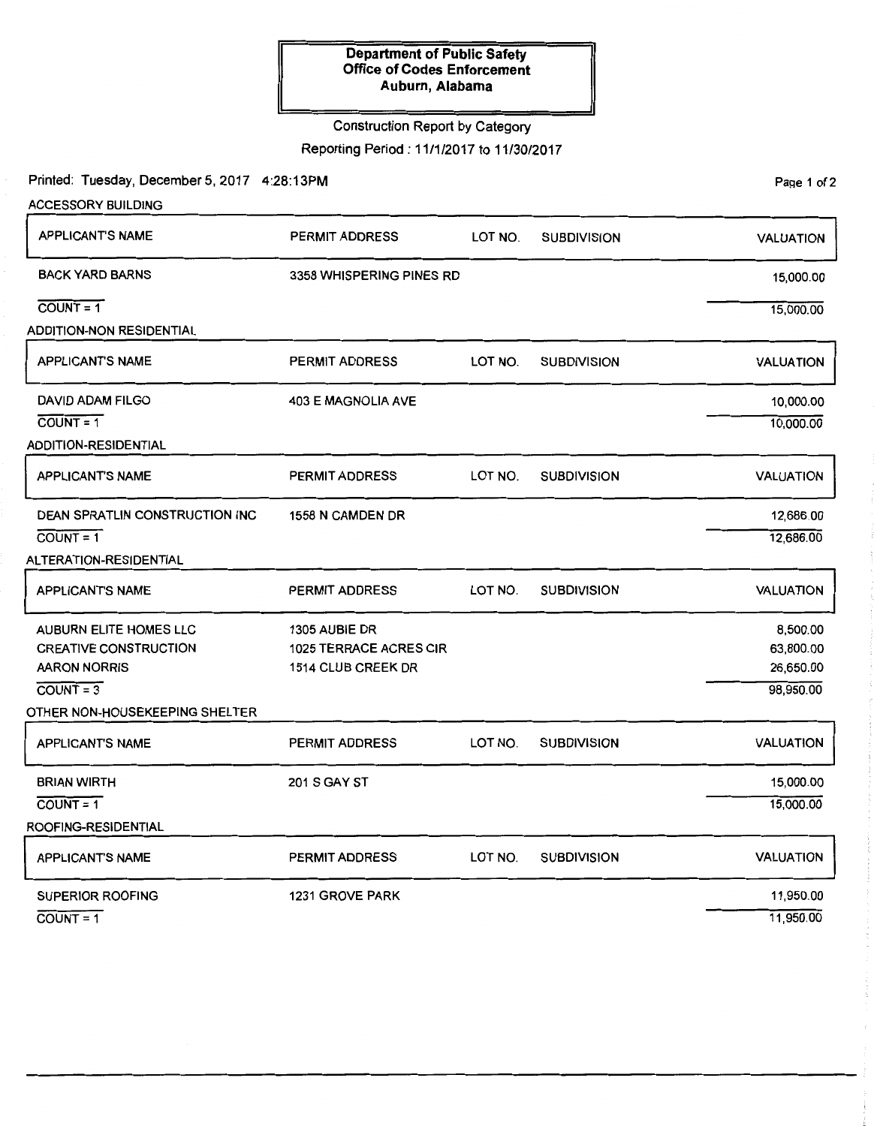#### **Department of Public Safety Office of Codes Enforcement Auburn, Alabama**

### Construction Report by Category

Reporting Period : 11 /1 /2017 to 11 /30/2017

Printed: Tuesday, December 5, 2017 4:28:13PM

| ACCESSORY BUILDING             |                               |         |                    |                  |
|--------------------------------|-------------------------------|---------|--------------------|------------------|
| <b>APPLICANT'S NAME</b>        | PERMIT ADDRESS                | LOT NO. | <b>SUBDIVISION</b> | <b>VALUATION</b> |
| <b>BACK YARD BARNS</b>         | 3358 WHISPERING PINES RD      |         |                    | 15,000.00        |
| $COUNT = 1$                    |                               |         |                    | 15,000.00        |
| ADDITION-NON RESIDENTIAL       |                               |         |                    |                  |
| <b>APPLICANT'S NAME</b>        | <b>PERMIT ADDRESS</b>         | LOT NO. | <b>SUBDIVISION</b> | <b>VALUATION</b> |
| <b>DAVID ADAM FILGO</b>        | <b>403 E MAGNOLIA AVE</b>     |         |                    | 10,000.00        |
| $COUNT = 1$                    |                               |         |                    | 10,000.00        |
| ADDITION-RESIDENTIAL           |                               |         |                    |                  |
| <b>APPLICANT'S NAME</b>        | <b>PERMIT ADDRESS</b>         | LOT NO. | <b>SUBDIVISION</b> | <b>VALUATION</b> |
| DEAN SPRATLIN CONSTRUCTION INC | 1558 N CAMDEN DR              |         |                    | 12,686.00        |
| $COUNT = 1$                    |                               |         |                    | 12,686.00        |
| ALTERATION-RESIDENTIAL         |                               |         |                    |                  |
| APPLICANT'S NAME               | <b>PERMIT ADDRESS</b>         | LOT NO. | <b>SUBDIVISION</b> | <b>VALUATION</b> |
| AUBURN ELITE HOMES LLC         | 1305 AUBIE DR                 |         |                    | 8,500.00         |
| <b>CREATIVE CONSTRUCTION</b>   | <b>1025 TERRACE ACRES CIR</b> |         |                    | 63,800.00        |
| <b>AARON NORRIS</b>            | 1514 CLUB CREEK DR            |         |                    | 26,650.00        |
| $COUNT = 3$                    |                               |         |                    | 98,950.00        |
| OTHER NON-HOUSEKEEPING SHELTER |                               |         |                    |                  |
| <b>APPLICANT'S NAME</b>        | <b>PERMIT ADDRESS</b>         | LOT NO. | <b>SUBDIVISION</b> | <b>VALUATION</b> |
| <b>BRIAN WIRTH</b>             | <b>201 S GAY ST</b>           |         |                    | 15,000.00        |
| $\overline{COUNT} = 1$         |                               |         |                    | 15,000.00        |
| ROOFING-RESIDENTIAL            |                               |         |                    |                  |
| <b>APPLICANT'S NAME</b>        | <b>PERMIT ADDRESS</b>         | LOT NO. | <b>SUBDIVISION</b> | <b>VALUATION</b> |
| <b>SUPERIOR ROOFING</b>        | <b>1231 GROVE PARK</b>        |         |                    | 11,950.00        |
| $COUNT = 1$                    |                               |         |                    | 11,950.00        |

Page 1 of 2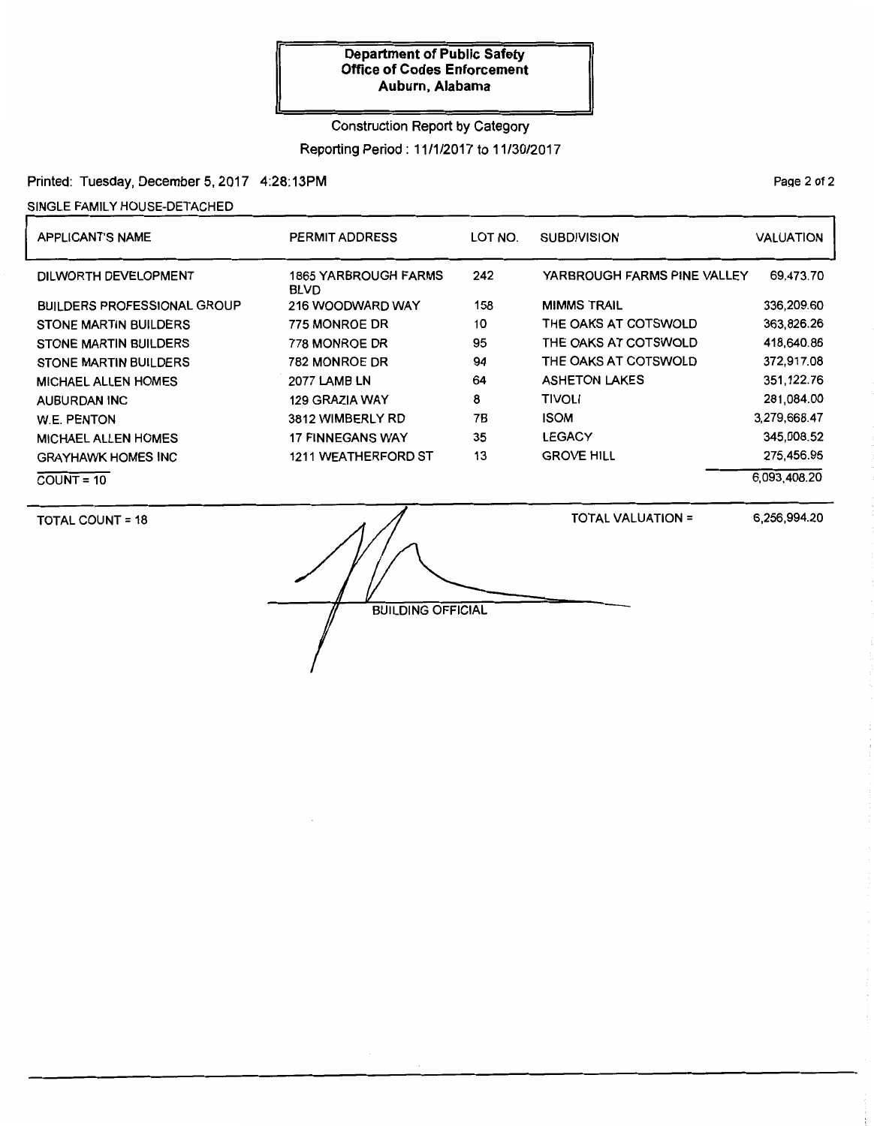#### **Department of Public Safety Office of Codes Enforcement Auburn, Alabama**

#### Construction Report by Category

Reporting Period : 11 /1 /2017 to 11 /30/2017

Printed: Tuesday, December 5, 2017 4:28:13PM

SINGLE FAMILY HOUSE-DETACHED

| <b>APPLICANT'S NAME</b>            | <b>PERMIT ADDRESS</b>               | LOT NO. | <b>SUBDIVISION</b>          | <b>VALUATION</b> |
|------------------------------------|-------------------------------------|---------|-----------------------------|------------------|
| DILWORTH DEVELOPMENT               | 1865 YARBROUGH FARMS<br><b>BLVD</b> | 242     | YARBROUGH FARMS PINE VALLEY | 69,473.70        |
| <b>BUILDERS PROFESSIONAL GROUP</b> | 216 WOODWARD WAY                    | 158     | <b>MIMMS TRAIL</b>          | 336,209.60       |
| <b>STONE MARTIN BUILDERS</b>       | 775 MONROE DR                       | 10      | THE OAKS AT COTSWOLD        | 363.826.26       |
| <b>STONE MARTIN BUILDERS</b>       | 778 MONROE DR                       | 95      | THE OAKS AT COTSWOLD        | 418,640.86       |
| <b>STONE MARTIN BUILDERS</b>       | 782 MONROE DR                       | 94      | THE OAKS AT COTSWOLD        | 372,917.08       |
| <b>MICHAEL ALLEN HOMES</b>         | <b>2077 LAMB LN</b>                 | 64      | <b>ASHETON LAKES</b>        | 351,122.76       |
| AUBURDAN INC                       | 129 GRAZIA WAY                      | 8       | <b>TIVOLI</b>               | 281.084.00       |
| <b>W.E. PENTON</b>                 | 3812 WIMBERLY RD                    | 7Β      | <b>ISOM</b>                 | 3,279,668.47     |
| <b>MICHAEL ALLEN HOMES</b>         | <b>17 FINNEGANS WAY</b>             | 35      | <b>LEGACY</b>               | 345.008.52       |
| <b>GRAYHAWK HOMES INC</b>          | <b>1211 WEATHERFORD ST</b>          | 13      | <b>GROVE HILL</b>           | 275.456.95       |
| $COUNT = 10$                       |                                     |         |                             | 6.093.408.20     |

TOTAL COUNT= 18

TOTAL VALUATION=

6,256,994.20

BUILDING OFFICIAL

Page 2 of 2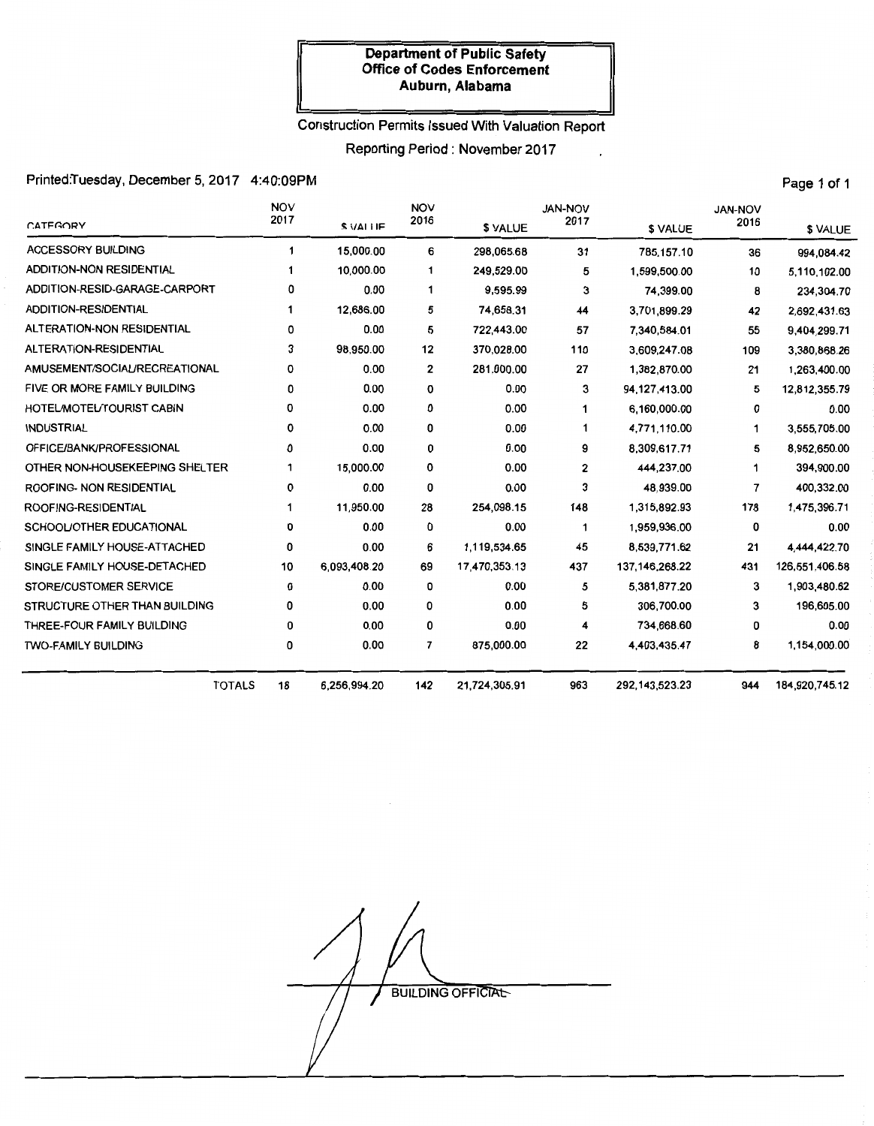#### **Department of Public Safety Office of Codes Enforcement Auburn, Alabama**

# Construction Permits Issued With Valuation Report

Reporting Period : November 2017

 $\ddot{\phantom{0}}$ 

# Printed:Tuesday, December 5, 2017 4:40:09PM Printed:Tuesday, December 5, 2017 4:40:09PM

| <b>CATEGORY</b>                 | <b>NOV</b><br>2017 | \$ VALLE     | <b>NOV</b><br>2016 |               | <b>JAN-NOV</b><br>2017 |                   | <b>JAN-NOV</b><br>2016   |                |
|---------------------------------|--------------------|--------------|--------------------|---------------|------------------------|-------------------|--------------------------|----------------|
|                                 |                    |              |                    | \$ VALUE      |                        | \$ VALUE          |                          | \$ VALUE       |
| <b>ACCESSORY BUILDING</b>       | 1                  | 15,000.00    | 6                  | 298,065.68    | 31                     | 785,157.10        | 36                       | 994,084.42     |
| <b>ADDITION-NON RESIDENTIAL</b> |                    | 10,000.00    | 1                  | 249,529.00    | 5                      | 1,599,500.00      | 10                       | 5,110,102.00   |
| ADDITION-RESID-GARAGE-CARPORT   | 0                  | 0.00         | 1                  | 9,595.99      | 3                      | 74,399.00         | 8                        | 234,304.70     |
| <b>ADDITION-RESIDENTIAL</b>     | 1                  | 12,686.00    | 5                  | 74.658.31     | 44                     | 3,701,899.29      | 42                       | 2,692,431.63   |
| ALTERATION-NON RESIDENTIAL      | 0                  | 0.00         | 5                  | 722,443.00    | 57                     | 7,340,584.01      | 55                       | 9.404,299.71   |
| ALTERATION-RESIDENTIAL          | 3                  | 98,950.00    | 12                 | 370,028.00    | 110                    | 3,609,247.08      | 109                      | 3,380,868.26   |
| AMUSEMENT/SOCIAL/RECREATIONAL   | 0                  | 0.00         | $\mathbf{2}$       | 281,000.00    | 27                     | 1,382,870.00      | 21                       | 1,263,400.00   |
| FIVE OR MORE FAMILY BUILDING    | 0                  | 0.00         | 0                  | 0.00          | 3                      | 94,127,413.00     | 5                        | 12,812,355.79  |
| HOTEL/MOTEL/TOURIST CABIN       | 0                  | 0.00         | 0                  | 0.00          | 1                      | 6,160,000.00      | 0                        | 0.00           |
| <b>INDUSTRIAL</b>               | 0                  | 0.00         | 0                  | 0.00          | 1                      | 4,771,110.00      | 1                        | 3,555,705.00   |
| OFFICE/BANK/PROFESSIONAL        | 0                  | 0.00         | 0                  | 0.00          | 9                      | 8,309,617.71      | 5                        | 8,952,650.00   |
| OTHER NON-HOUSEKEEPING SHELTER  | 1                  | 15,000.00    | 0                  | 0.00          | 2                      | 444,237.00        | 1                        | 394,900.00     |
| ROOFING- NON RESIDENTIAL        | 0                  | 0.00         | 0                  | 0.00          | 3                      | 48,939.00         | $\overline{\phantom{a}}$ | 400,332.00     |
| ROOFING-RESIDENTIAL             |                    | 11,950.00    | 28                 | 254,098.15    | 148                    | 1,315,892.93      | 178                      | 1,475,396.71   |
| SCHOOL/OTHER EDUCATIONAL        | 0                  | 0.00         | 0                  | 0.00          | 1                      | 1,959,936.00      | 0                        | 0.00           |
| SINGLE FAMILY HOUSE-ATTACHED    | 0                  | 0.00         | 6                  | 1,119,534.65  | 45                     | 8,539,771.62      | 21                       | 4,444,422.70   |
| SINGLE FAMILY HOUSE-DETACHED    | 10                 | 6,093,408.20 | 69                 | 17,470,353.13 | 437                    | 137, 146, 268. 22 | 431                      | 126,551,406.58 |
| STORE/CUSTOMER SERVICE          | 0                  | 0.00         | 0                  | 0.00          | 5                      | 5,381,877.20      | 3                        | 1,903,480.62   |
| STRUCTURE OTHER THAN BUILDING   | 0                  | 0.00         | 0                  | 0.00          | 5                      | 306,700.00        | 3                        | 196,605.00     |
| THREE-FOUR FAMILY BUILDING      | 0                  | 0.00         | 0                  | 0.00          | 4                      | 734,668.60        | 0                        | 0.00           |
| <b>TWO-FAMILY BUILDING</b>      | 0                  | 0.00         | 7                  | 875,000.00    | 22                     | 4,403,435.47      | 8                        | 1,154,000.00   |
| <b>TOTALS</b>                   | 18                 | 6,256,994.20 | 142                | 21,724,305.91 | 963                    | 292, 143, 523. 23 | 944                      | 184,920,745.12 |

**BUILDING OFFICIAL** 

 $\mathcal{L}$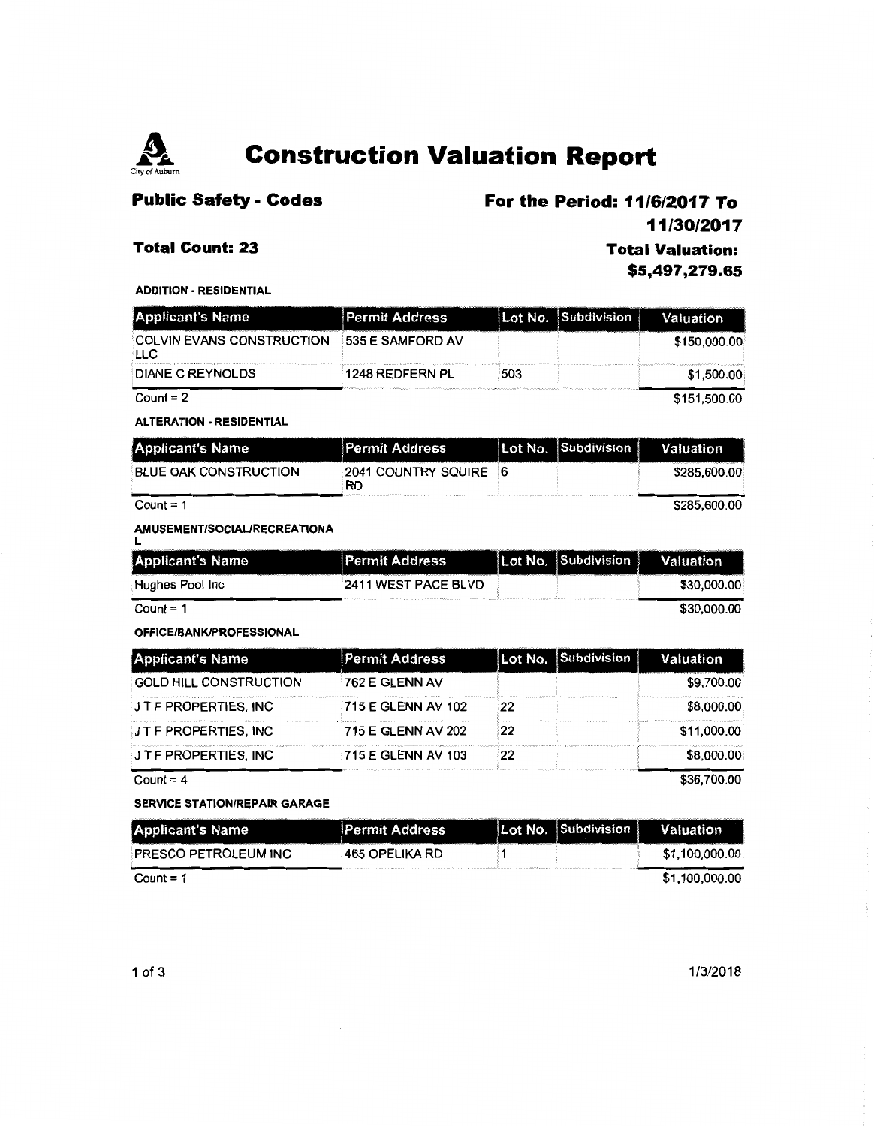

# **Construction Valuation Report**

## **Public Safety - Codes**

# **For the Period: 11/6/2017 To**

### **Total Count: 23**

**11/30/2017** 

## **Total Valuation: \$5,497 ,279.65**

ADDITION • RESIDENTIAL

| <b>Applicant's Name</b>                 | <b>Permit Address</b> |     | Lot No. Subdivision | Valuation    |
|-----------------------------------------|-----------------------|-----|---------------------|--------------|
| <b>COLVIN EVANS CONSTRUCTION</b><br>LLC | 535 E SAMFORD AV      |     |                     | \$150,000.00 |
| DIANE C REYNOLDS                        | 1248 REDFERN PL       | 503 |                     | \$1,500.00   |
| Count = $2$                             |                       |     |                     | \$151,500.00 |

#### ALTERATION· RESIDENTIAL

| <b>Applicant's Name</b>      | <b>Permit Address</b>            | Lot No. Subdivision | Valuation    |
|------------------------------|----------------------------------|---------------------|--------------|
| <b>BLUE OAK CONSTRUCTION</b> | 2041 COUNTRY SQUIRE<br><b>RD</b> |                     | \$285,600.00 |
| Count = $1$                  |                                  |                     | \$285,600.00 |

#### AMUSEMENT/SOCIAURECREATIONA

| <b>Applicant's Name</b> | <b>Permit Address</b>      | Lot No. Subdivision | Valuation   |
|-------------------------|----------------------------|---------------------|-------------|
| :Hughes Pool Inc        | <b>2411 WEST PACE BLVD</b> |                     | \$30,000.00 |
| Count = $1$             |                            |                     | \$30,000.00 |

# OFFICE/BANK/PROFESSIONAL

| <b>Applicant's Name</b>       | <b>Permit Address</b>     |    | Lot No. Subdivision | Valuation   |
|-------------------------------|---------------------------|----|---------------------|-------------|
| <b>GOLD HILL CONSTRUCTION</b> | 762 E GLENN AV            |    |                     | \$9.700.00  |
| <b>JTF PROPERTIES, INC</b>    | <b>715 E GLENN AV 102</b> | 22 |                     | \$8,000.00  |
| <b>J T F PROPERTIES, INC</b>  | 715 E GLENN AV 202        | 22 |                     | \$11,000.00 |
| <b>J T F PROPERTIES, INC</b>  | 715 E GLENN AV 103        | 22 |                     | \$8,000.00  |
| Count = 4                     |                           |    |                     | \$36,700.00 |

Count= 4

| <b>SERVICE STATION/REPAIR GARAGE</b> |                       |  |                     |                |  |
|--------------------------------------|-----------------------|--|---------------------|----------------|--|
| <b>Applicant's Name</b>              | <b>Permit Address</b> |  | Lot No. Subdivision | Valuation      |  |
| PRESCO PETROLEUM INC                 | 465 OPELIKA RD        |  |                     | \$1,100,000.00 |  |
| $Count = 1$                          |                       |  |                     | \$1,100,000.00 |  |

1/3/2018

÷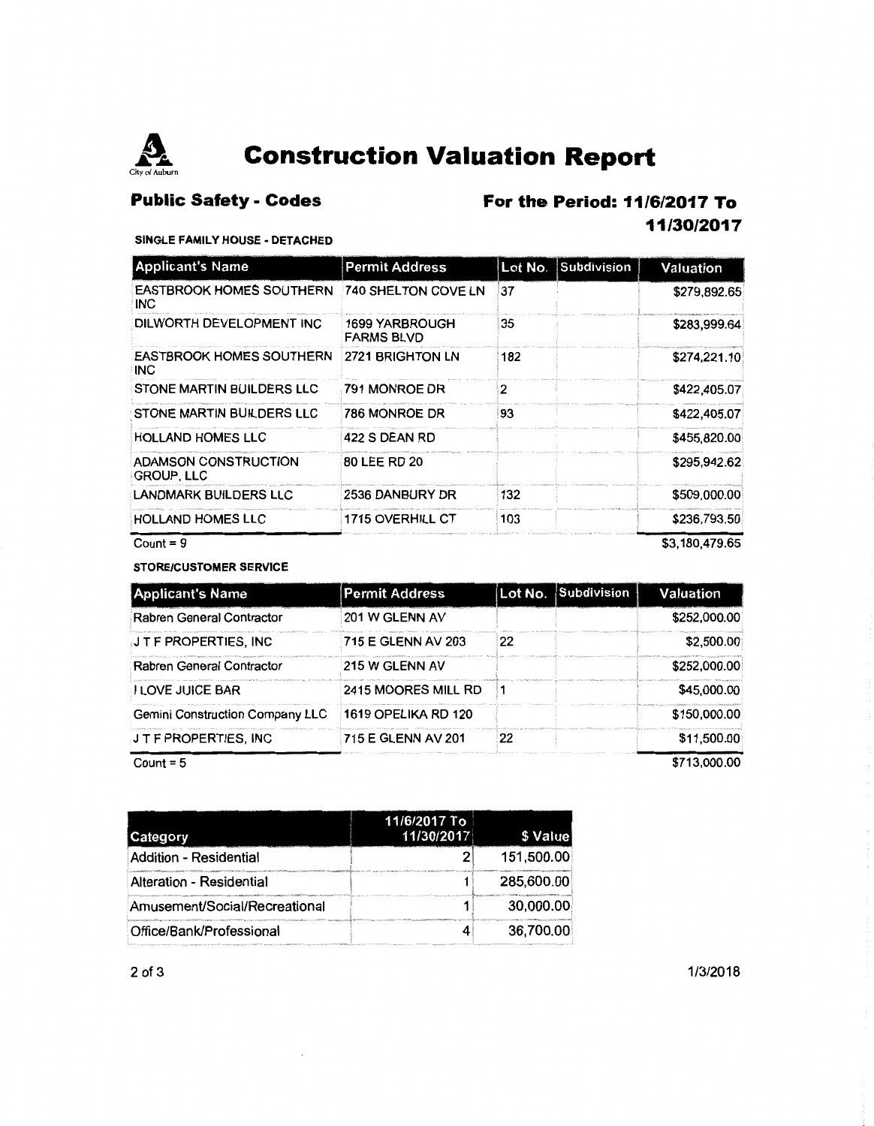

# **Construction Valuation Report**

# **Public Safety - Codes**

# **For the Period: 11/6/2017 To**

# **11/30/2017**

### SINGLE FAMILY HOUSE ·DETACHED

| <b>Applicant's Name</b>                       | <b>Permit Address</b>               | Subdivision<br>Lot No. | Valuation      |
|-----------------------------------------------|-------------------------------------|------------------------|----------------|
| <b>EASTBROOK HOMES SOUTHERN</b><br>INC.       | 740 SHELTON COVE LN                 | 37                     | \$279,892.65   |
| DILWORTH DEVELOPMENT INC                      | 1699 YARBROUGH<br><b>FARMS BLVD</b> | 35                     | \$283,999.64   |
| <b>EASTBROOK HOMES SOUTHERN</b><br><b>INC</b> | 2721 BRIGHTON LN                    | 182                    | \$274,221.10   |
| STONE MARTIN BUILDERS LLC                     | 791 MONROE DR                       | 2                      | \$422,405.07   |
| STONE MARTIN BUILDERS LLC                     | 786 MONROE DR                       | 93                     | \$422,405.07   |
| <b>HOLLAND HOMES LLC</b>                      | 422 S DEAN RD                       |                        | \$455,820.00   |
| ADAMSON CONSTRUCTION<br><b>GROUP, LLC</b>     | 80 LEE RD 20                        |                        | \$295,942.62   |
| <b>LANDMARK BUILDERS LLC</b>                  | 2536 DANBURY DR                     | 132                    | \$509,000.00   |
| <b>HOLLAND HOMES LLC</b>                      | 1715 OVERHILL CT                    | 103                    | \$236,793,50   |
| Count = $9$                                   |                                     |                        | \$3.180.479.65 |

STORE/CUSTOMER SERVICE

| <b>Applicant's Name</b>                | <b>Permit Address</b> |    | Lot No. Subdivision | Valuation    |
|----------------------------------------|-----------------------|----|---------------------|--------------|
| Rabren General Contractor              | 201 W GLENN AV        |    |                     | \$252,000.00 |
| J T F PROPERTIES, INC                  | 715 E GLENN AV 203    | 22 |                     | \$2,500.00   |
| Rabren General Contractor              | 215 W GLENN AV        |    |                     | \$252,000.00 |
| <b>I LOVE JUICE BAR</b>                | 2415 MOORES MILL RD   |    |                     | \$45,000.00  |
| <b>Gemini Construction Company LLC</b> | 1619 OPELIKA RD 120   |    |                     | \$150,000.00 |
| J T F PROPERTIES, INC                  | 715 E GLENN AV 201    | 22 |                     | \$11,500.00  |
| Count = $5$                            |                       |    |                     | \$713,000.00 |

| Category                      | 11/6/2017 To<br>11/30/2017 | \$ Value   |
|-------------------------------|----------------------------|------------|
| Addition - Residential        |                            | 151,500.00 |
| Alteration - Residential      |                            | 285,600.00 |
| Amusement/Social/Recreational |                            | 30,000.00  |
| Office/Bank/Professional      |                            | 36,700.00  |

2 of 3 1/3/2018